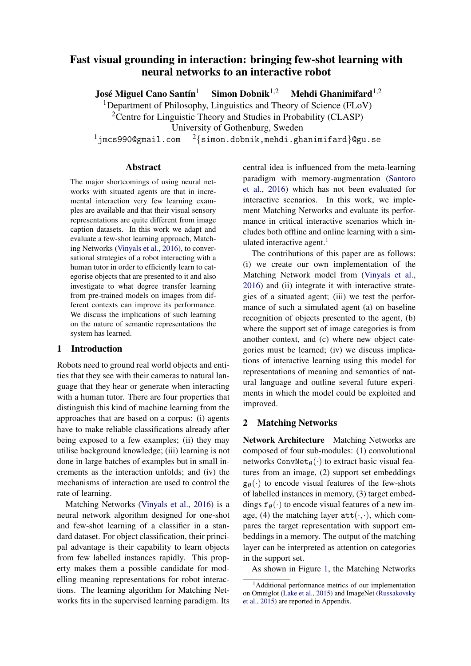# <span id="page-0-0"></span>Fast visual grounding in interaction: bringing few-shot learning with neural networks to an interactive robot

José Miguel Cano Santín<sup>1</sup> Simon Dobnik<sup>1,2</sup> Mehdi Ghanimifard<sup>1,2</sup>

<sup>1</sup>Department of Philosophy, Linguistics and Theory of Science (FLoV)

<sup>2</sup>Centre for Linguistic Theory and Studies in Probability (CLASP)

University of Gothenburg, Sweden

 $1$ jmcs990@gmail.com  $2\{sim.dobnik,mehdi.ghanimitard\}$ @gu.se

#### Abstract

The major shortcomings of using neural networks with situated agents are that in incremental interaction very few learning examples are available and that their visual sensory representations are quite different from image caption datasets. In this work we adapt and evaluate a few-shot learning approach, Matching Networks [\(Vinyals et al.,](#page-7-0) [2016\)](#page-7-0), to conversational strategies of a robot interacting with a human tutor in order to efficiently learn to categorise objects that are presented to it and also investigate to what degree transfer learning from pre-trained models on images from different contexts can improve its performance. We discuss the implications of such learning on the nature of semantic representations the system has learned.

## 1 Introduction

Robots need to ground real world objects and entities that they see with their cameras to natural language that they hear or generate when interacting with a human tutor. There are four properties that distinguish this kind of machine learning from the approaches that are based on a corpus: (i) agents have to make reliable classifications already after being exposed to a few examples; (ii) they may utilise background knowledge; (iii) learning is not done in large batches of examples but in small increments as the interaction unfolds; and (iv) the mechanisms of interaction are used to control the rate of learning.

Matching Networks [\(Vinyals et al.,](#page-7-0) [2016\)](#page-7-0) is a neural network algorithm designed for one-shot and few-shot learning of a classifier in a standard dataset. For object classification, their principal advantage is their capability to learn objects from few labelled instances rapidly. This property makes them a possible candidate for modelling meaning representations for robot interactions. The learning algorithm for Matching Networks fits in the supervised learning paradigm. Its

central idea is influenced from the meta-learning paradigm with memory-augmentation [\(Santoro](#page-6-0) [et al.,](#page-6-0) [2016\)](#page-6-0) which has not been evaluated for interactive scenarios. In this work, we implement Matching Networks and evaluate its performance in critical interactive scenarios which includes both offline and online learning with a simulated interactive agent. $<sup>1</sup>$ </sup>

The contributions of this paper are as follows: (i) we create our own implementation of the Matching Network model from [\(Vinyals et al.,](#page-7-0) [2016\)](#page-7-0) and (ii) integrate it with interactive strategies of a situated agent; (iii) we test the performance of such a simulated agent (a) on baseline recognition of objects presented to the agent, (b) where the support set of image categories is from another context, and (c) where new object categories must be learned; (iv) we discuss implications of interactive learning using this model for representations of meaning and semantics of natural language and outline several future experiments in which the model could be exploited and improved.

# 2 Matching Networks

Network Architecture Matching Networks are composed of four sub-modules: (1) convolutional networks ConvNet $\theta(\cdot)$  to extract basic visual features from an image, (2) support set embeddings  $g_{\theta}(\cdot)$  to encode visual features of the few-shots of labelled instances in memory, (3) target embeddings  $f_{\theta}(\cdot)$  to encode visual features of a new image, (4) the matching layer  $\text{att}(\cdot, \cdot)$ , which compares the target representation with support embeddings in a memory. The output of the matching layer can be interpreted as attention on categories in the support set.

As shown in Figure [1,](#page-1-0) the Matching Networks

<sup>&</sup>lt;sup>1</sup>Additional performance metrics of our implementation on Omniglot [\(Lake et al.,](#page-6-1) [2015\)](#page-6-1) and ImageNet [\(Russakovsky](#page-6-2) [et al.,](#page-6-2) [2015\)](#page-6-2) are reported in Appendix.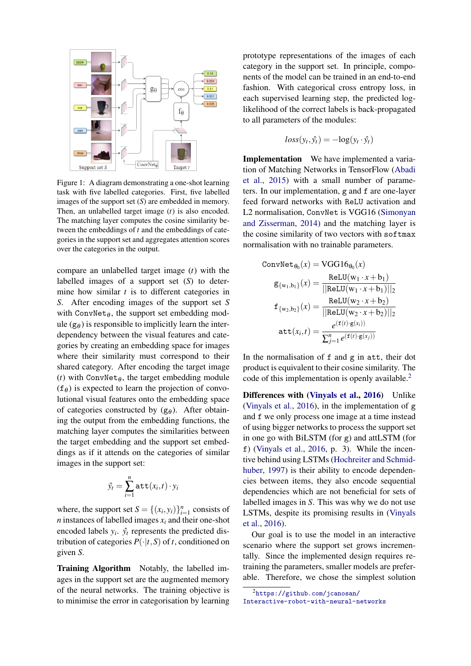<span id="page-1-0"></span>

Figure 1: A diagram demonstrating a one-shot learning task with five labelled categories. First, five labelled images of the support set (*S*) are embedded in memory. Then, an unlabelled target image (*t*) is also encoded. The matching layer computes the cosine similarity between the embeddings of *t* and the embeddings of categories in the support set and aggregates attention scores over the categories in the output.

compare an unlabelled target image (*t*) with the labelled images of a support set (*S*) to determine how similar *t* is to different categories in *S*. After encoding images of the support set *S* with ConvNet<sub> $\theta$ </sub>, the support set embedding module  $(g_{\theta})$  is responsible to implicitly learn the interdependency between the visual features and categories by creating an embedding space for images where their similarity must correspond to their shared category. After encoding the target image (*t*) with ConvNet $_{\theta}$ , the target embedding module  $(f_{\theta})$  is expected to learn the projection of convolutional visual features onto the embedding space of categories constructed by  $(g_{\theta})$ . After obtaining the output from the embedding functions, the matching layer computes the similarities between the target embedding and the support set embeddings as if it attends on the categories of similar images in the support set:

$$
\hat{y_t} = \sum_{i=1}^n \mathtt{att}(x_i, t) \cdot y_i
$$

where, the support set  $S = \{(x_i, y_i)\}_{i=1}^n$  consists of *n* instances of labelled images  $x_i$  and their one-shot encoded labels  $y_i$ .  $\hat{y}_t$  represents the predicted distribution of categories  $P(\cdot|t, S)$  of *t*, conditioned on given *S*.

Training Algorithm Notably, the labelled images in the support set are the augmented memory of the neural networks. The training objective is to minimise the error in categorisation by learning prototype representations of the images of each category in the support set. In principle, components of the model can be trained in an end-to-end fashion. With categorical cross entropy loss, in each supervised learning step, the predicted loglikelihood of the correct labels is back-propagated to all parameters of the modules:

$$
loss(y_t, \hat{y_t}) = -\log(y_t \cdot \hat{y_t})
$$

Implementation We have implemented a variation of Matching Networks in TensorFlow [\(Abadi](#page-6-3) [et al.,](#page-6-3) [2015\)](#page-6-3) with a small number of parameters. In our implementation, g and f are one-layer feed forward networks with ReLU activation and L2 normalisation, ConvNet is VGG16 [\(Simonyan](#page-7-1) [and Zisserman,](#page-7-1) [2014\)](#page-7-1) and the matching layer is the cosine similarity of two vectors with softmax normalisation with no trainable parameters.

ConvNet<sub>θ0</sub>(x) = VGG16<sub>θ0</sub>(x)  
\n
$$
g_{\{w_1,b_1\}}(x) = \frac{ReLU(w_1 \cdot x + b_1)}{||ReLU(w_1 \cdot x + b_1)||_2}
$$
\n
$$
f_{\{w_2,b_2\}}(x) = \frac{ReLU(w_2 \cdot x + b_2)}{||ReLU(w_2 \cdot x + b_2)||_2}
$$
\n
$$
att(x_i,t) = \frac{e^{(f(t) \cdot g(x_i))}}{\sum_{j=1}^n e^{(f(t) \cdot g(x_j))}}
$$

In the normalisation of f and g in att, their dot product is equivalent to their cosine similarity. The code of this implementation is openly available.<sup>[2](#page-0-0)</sup>

Differences with [\(Vinyals et al.,](#page-7-0) [2016\)](#page-7-0) Unlike [\(Vinyals et al.,](#page-7-0) [2016\)](#page-7-0), in the implementation of g and f we only process one image at a time instead of using bigger networks to process the support set in one go with BiLSTM (for g) and attLSTM (for f) [\(Vinyals et al.,](#page-7-0) [2016,](#page-7-0) p. 3). While the incentive behind using LSTMs [\(Hochreiter and Schmid](#page-6-4)[huber,](#page-6-4) [1997\)](#page-6-4) is their ability to encode dependencies between items, they also encode sequential dependencies which are not beneficial for sets of labelled images in *S*. This was why we do not use LSTMs, despite its promising results in [\(Vinyals](#page-7-0) [et al.,](#page-7-0) [2016\)](#page-7-0).

Our goal is to use the model in an interactive scenario where the support set grows incrementally. Since the implemented design requires retraining the parameters, smaller models are preferable. Therefore, we chose the simplest solution

<sup>2</sup>[https://github.com/jcanosan/](https://github.com/jcanosan/Interactive-robot-with-neural-networks)

[Interactive-robot-with-neural-networks](https://github.com/jcanosan/Interactive-robot-with-neural-networks)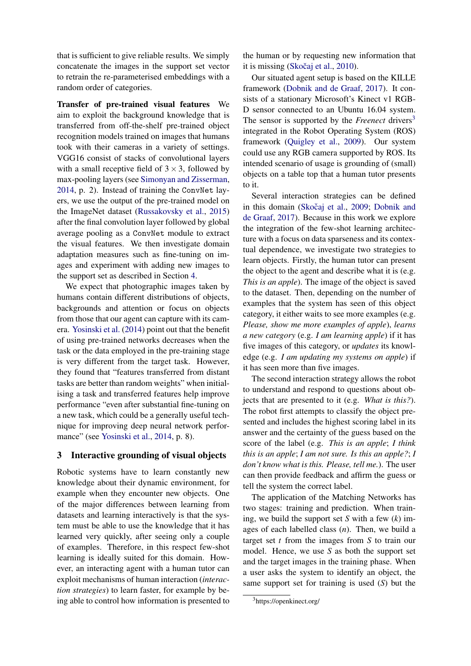that is sufficient to give reliable results. We simply concatenate the images in the support set vector to retrain the re-parameterised embeddings with a random order of categories.

Transfer of pre-trained visual features We aim to exploit the background knowledge that is transferred from off-the-shelf pre-trained object recognition models trained on images that humans took with their cameras in a variety of settings. VGG16 consist of stacks of convolutional layers with a small receptive field of  $3 \times 3$ , followed by max-pooling layers (see [Simonyan and Zisserman,](#page-7-1) [2014,](#page-7-1) p. 2). Instead of training the ConvNet layers, we use the output of the pre-trained model on the ImageNet dataset [\(Russakovsky et al.,](#page-6-2) [2015\)](#page-6-2) after the final convolution layer followed by global average pooling as a ConvNet module to extract the visual features. We then investigate domain adaptation measures such as fine-tuning on images and experiment with adding new images to the support set as described in Section [4.](#page-3-0)

We expect that photographic images taken by humans contain different distributions of objects, backgrounds and attention or focus on objects from those that our agent can capture with its camera. [Yosinski et al.](#page-7-2) [\(2014\)](#page-7-2) point out that the benefit of using pre-trained networks decreases when the task or the data employed in the pre-training stage is very different from the target task. However, they found that "features transferred from distant tasks are better than random weights" when initialising a task and transferred features help improve performance "even after substantial fine-tuning on a new task, which could be a generally useful technique for improving deep neural network perfor-mance" (see [Yosinski et al.,](#page-7-2) [2014,](#page-7-2) p. 8).

# <span id="page-2-0"></span>3 Interactive grounding of visual objects

Robotic systems have to learn constantly new knowledge about their dynamic environment, for example when they encounter new objects. One of the major differences between learning from datasets and learning interactively is that the system must be able to use the knowledge that it has learned very quickly, after seeing only a couple of examples. Therefore, in this respect few-shot learning is ideally suited for this domain. However, an interacting agent with a human tutor can exploit mechanisms of human interaction (*interaction strategies*) to learn faster, for example by being able to control how information is presented to

the human or by requesting new information that it is missing  $(Skočaj et al., 2010)$  $(Skočaj et al., 2010)$ .

Our situated agent setup is based on the KILLE framework [\(Dobnik and de Graaf,](#page-6-5) [2017\)](#page-6-5). It consists of a stationary Microsoft's Kinect v1 RGB-D sensor connected to an Ubuntu 16.04 system. The sensor is supported by the *Freenect* drivers<sup>[3](#page-0-0)</sup> integrated in the Robot Operating System (ROS) framework [\(Quigley et al.,](#page-6-6) [2009\)](#page-6-6). Our system could use any RGB camera supported by ROS. Its intended scenario of usage is grounding of (small) objects on a table top that a human tutor presents to it.

Several interaction strategies can be defined in this domain (Skočaj et al., [2009;](#page-7-4) [Dobnik and](#page-6-5) [de Graaf,](#page-6-5) [2017\)](#page-6-5). Because in this work we explore the integration of the few-shot learning architecture with a focus on data sparseness and its contextual dependence, we investigate two strategies to learn objects. Firstly, the human tutor can present the object to the agent and describe what it is (e.g. *This is an apple*). The image of the object is saved to the dataset. Then, depending on the number of examples that the system has seen of this object category, it either waits to see more examples (e.g. *Please, show me more examples of apple*), *learns a new category* (e.g. *I am learning apple*) if it has five images of this category, or *updates* its knowledge (e.g. *I am updating my systems on apple*) if it has seen more than five images.

The second interaction strategy allows the robot to understand and respond to questions about objects that are presented to it (e.g. *What is this?*). The robot first attempts to classify the object presented and includes the highest scoring label in its answer and the certainty of the guess based on the score of the label (e.g. *This is an apple*; *I think this is an apple*; *I am not sure. Is this an apple?*; *I don't know what is this. Please, tell me.*). The user can then provide feedback and affirm the guess or tell the system the correct label.

The application of the Matching Networks has two stages: training and prediction. When training, we build the support set *S* with a few (*k*) images of each labelled class (*n*). Then, we build a target set *t* from the images from *S* to train our model. Hence, we use *S* as both the support set and the target images in the training phase. When a user asks the system to identify an object, the same support set for training is used (*S*) but the

<sup>3</sup>https://openkinect.org/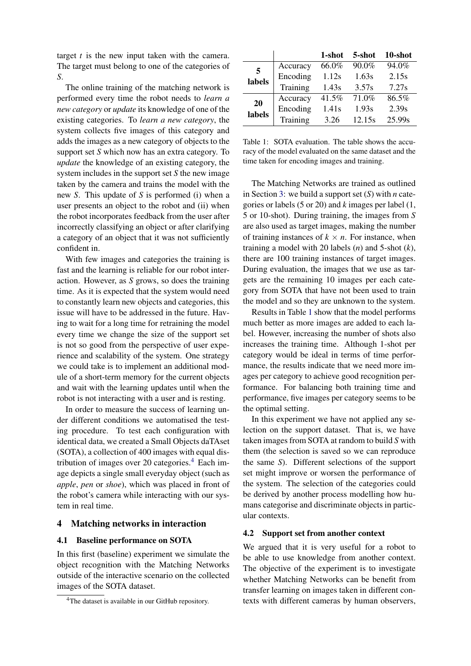target *t* is the new input taken with the camera. The target must belong to one of the categories of *S*.

The online training of the matching network is performed every time the robot needs to *learn a new category* or *update* its knowledge of one of the existing categories. To *learn a new category*, the system collects five images of this category and adds the images as a new category of objects to the support set *S* which now has an extra category. To *update* the knowledge of an existing category, the system includes in the support set *S* the new image taken by the camera and trains the model with the new *S*. This update of *S* is performed (i) when a user presents an object to the robot and (ii) when the robot incorporates feedback from the user after incorrectly classifying an object or after clarifying a category of an object that it was not sufficiently confident in.

With few images and categories the training is fast and the learning is reliable for our robot interaction. However, as *S* grows, so does the training time. As it is expected that the system would need to constantly learn new objects and categories, this issue will have to be addressed in the future. Having to wait for a long time for retraining the model every time we change the size of the support set is not so good from the perspective of user experience and scalability of the system. One strategy we could take is to implement an additional module of a short-term memory for the current objects and wait with the learning updates until when the robot is not interacting with a user and is resting.

In order to measure the success of learning under different conditions we automatised the testing procedure. To test each configuration with identical data, we created a Small Objects daTAset (SOTA), a collection of 400 images with equal distribution of images over 20 categories. $4$  Each image depicts a single small everyday object (such as *apple*, *pen* or *shoe*), which was placed in front of the robot's camera while interacting with our system in real time.

# <span id="page-3-0"></span>4 Matching networks in interaction

## <span id="page-3-2"></span>4.1 Baseline performance on SOTA

In this first (baseline) experiment we simulate the object recognition with the Matching Networks outside of the interactive scenario on the collected images of the SOTA dataset.

<span id="page-3-1"></span>

|              |          | 1-shot | 5-shot | 10-shot |
|--------------|----------|--------|--------|---------|
| 5<br>labels  | Accuracy | 66.0%  | 90.0%  | 94.0%   |
|              | Encoding | 1.12s  | 1.63s  | 2.15s   |
|              | Training | 1.43s  | 3.57s  | 7.27s   |
| 20<br>labels | Accuracy | 41.5%  | 71.0%  | 86.5%   |
|              | Encoding | 1.41s  | 1.93s  | 2.39s   |
|              | Training | 3.26   | 12.15s | 25.99s  |

Table 1: SOTA evaluation. The table shows the accuracy of the model evaluated on the same dataset and the time taken for encoding images and training.

The Matching Networks are trained as outlined in Section [3:](#page-2-0) we build a support set (*S*) with *n* categories or labels (5 or 20) and *k* images per label (1, 5 or 10-shot). During training, the images from *S* are also used as target images, making the number of training instances of  $k \times n$ . For instance, when training a model with 20 labels (*n*) and 5-shot (*k*), there are 100 training instances of target images. During evaluation, the images that we use as targets are the remaining 10 images per each category from SOTA that have not been used to train the model and so they are unknown to the system.

Results in Table [1](#page-3-1) show that the model performs much better as more images are added to each label. However, increasing the number of shots also increases the training time. Although 1-shot per category would be ideal in terms of time performance, the results indicate that we need more images per category to achieve good recognition performance. For balancing both training time and performance, five images per category seems to be the optimal setting.

In this experiment we have not applied any selection on the support dataset. That is, we have taken images from SOTA at random to build *S* with them (the selection is saved so we can reproduce the same *S*). Different selections of the support set might improve or worsen the performance of the system. The selection of the categories could be derived by another process modelling how humans categorise and discriminate objects in particular contexts.

#### 4.2 Support set from another context

We argued that it is very useful for a robot to be able to use knowledge from another context. The objective of the experiment is to investigate whether Matching Networks can be benefit from transfer learning on images taken in different contexts with different cameras by human observers,

<sup>&</sup>lt;sup>4</sup>The dataset is available in our GitHub repository.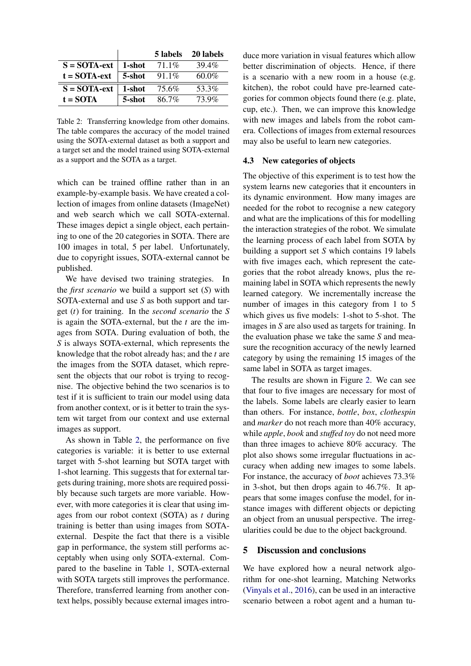<span id="page-4-0"></span>

|                 |        | 5 labels | 20 labels |
|-----------------|--------|----------|-----------|
| $S = SOTA$ -ext | 1-shot | $71.1\%$ | 39.4%     |
| $t = SOTA-ext$  | 5-shot | $91.1\%$ | $60.0\%$  |
| $S = SOTA$ -ext | 1-shot | 75.6%    | 53.3%     |
| $t = SOTA$      | 5-shot | 86.7%    | 73.9%     |

Table 2: Transferring knowledge from other domains. The table compares the accuracy of the model trained using the SOTA-external dataset as both a support and a target set and the model trained using SOTA-external as a support and the SOTA as a target.

which can be trained offline rather than in an example-by-example basis. We have created a collection of images from online datasets (ImageNet) and web search which we call SOTA-external. These images depict a single object, each pertaining to one of the 20 categories in SOTA. There are 100 images in total, 5 per label. Unfortunately, due to copyright issues, SOTA-external cannot be published.

We have devised two training strategies. In the *first scenario* we build a support set (*S*) with SOTA-external and use *S* as both support and target (*t*) for training. In the *second scenario* the *S* is again the SOTA-external, but the *t* are the images from SOTA. During evaluation of both, the *S* is always SOTA-external, which represents the knowledge that the robot already has; and the *t* are the images from the SOTA dataset, which represent the objects that our robot is trying to recognise. The objective behind the two scenarios is to test if it is sufficient to train our model using data from another context, or is it better to train the system wit target from our context and use external images as support.

As shown in Table [2,](#page-4-0) the performance on five categories is variable: it is better to use external target with 5-shot learning but SOTA target with 1-shot learning. This suggests that for external targets during training, more shots are required possibly because such targets are more variable. However, with more categories it is clear that using images from our robot context (SOTA) as *t* during training is better than using images from SOTAexternal. Despite the fact that there is a visible gap in performance, the system still performs acceptably when using only SOTA-external. Compared to the baseline in Table [1,](#page-3-1) SOTA-external with SOTA targets still improves the performance. Therefore, transferred learning from another context helps, possibly because external images intro-

duce more variation in visual features which allow better discrimination of objects. Hence, if there is a scenario with a new room in a house (e.g. kitchen), the robot could have pre-learned categories for common objects found there (e.g. plate, cup, etc.). Then, we can improve this knowledge with new images and labels from the robot camera. Collections of images from external resources may also be useful to learn new categories.

#### 4.3 New categories of objects

The objective of this experiment is to test how the system learns new categories that it encounters in its dynamic environment. How many images are needed for the robot to recognise a new category and what are the implications of this for modelling the interaction strategies of the robot. We simulate the learning process of each label from SOTA by building a support set *S* which contains 19 labels with five images each, which represent the categories that the robot already knows, plus the remaining label in SOTA which represents the newly learned category. We incrementally increase the number of images in this category from 1 to 5 which gives us five models: 1-shot to 5-shot. The images in *S* are also used as targets for training. In the evaluation phase we take the same *S* and measure the recognition accuracy of the newly learned category by using the remaining 15 images of the same label in SOTA as target images.

The results are shown in Figure [2.](#page-5-0) We can see that four to five images are necessary for most of the labels. Some labels are clearly easier to learn than others. For instance, *bottle*, *box*, *clothespin* and *marker* do not reach more than 40% accuracy, while *apple*, *book* and *stuffed toy* do not need more than three images to achieve 80% accuracy. The plot also shows some irregular fluctuations in accuracy when adding new images to some labels. For instance, the accuracy of *boot* achieves 73.3% in 3-shot, but then drops again to 46.7%. It appears that some images confuse the model, for instance images with different objects or depicting an object from an unusual perspective. The irregularities could be due to the object background.

#### 5 Discussion and conclusions

We have explored how a neural network algorithm for one-shot learning, Matching Networks [\(Vinyals et al.,](#page-7-0) [2016\)](#page-7-0), can be used in an interactive scenario between a robot agent and a human tu-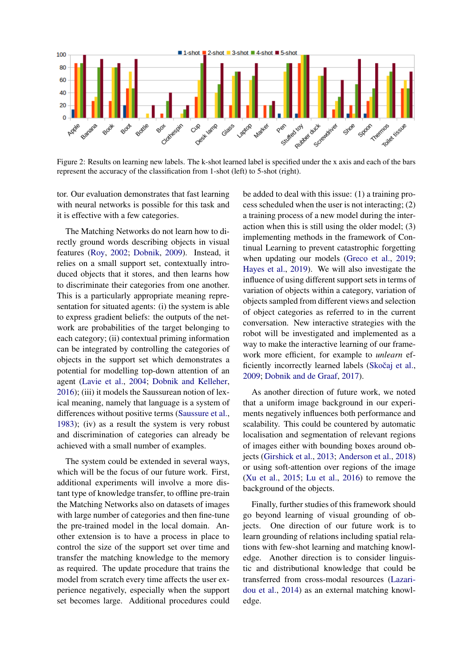<span id="page-5-0"></span>

Figure 2: Results on learning new labels. The k-shot learned label is specified under the x axis and each of the bars represent the accuracy of the classification from 1-shot (left) to 5-shot (right).

tor. Our evaluation demonstrates that fast learning with neural networks is possible for this task and it is effective with a few categories.

The Matching Networks do not learn how to directly ground words describing objects in visual features [\(Roy,](#page-6-7) [2002;](#page-6-7) [Dobnik,](#page-6-8) [2009\)](#page-6-8). Instead, it relies on a small support set, contextually introduced objects that it stores, and then learns how to discriminate their categories from one another. This is a particularly appropriate meaning representation for situated agents: (i) the system is able to express gradient beliefs: the outputs of the network are probabilities of the target belonging to each category; (ii) contextual priming information can be integrated by controlling the categories of objects in the support set which demonstrates a potential for modelling top-down attention of an agent [\(Lavie et al.,](#page-6-9) [2004;](#page-6-9) [Dobnik and Kelleher,](#page-6-10) [2016\)](#page-6-10); (iii) it models the Saussurean notion of lexical meaning, namely that language is a system of differences without positive terms [\(Saussure et al.,](#page-7-5) [1983\)](#page-7-5); (iv) as a result the system is very robust and discrimination of categories can already be achieved with a small number of examples.

The system could be extended in several ways, which will be the focus of our future work. First, additional experiments will involve a more distant type of knowledge transfer, to offline pre-train the Matching Networks also on datasets of images with large number of categories and then fine-tune the pre-trained model in the local domain. Another extension is to have a process in place to control the size of the support set over time and transfer the matching knowledge to the memory as required. The update procedure that trains the model from scratch every time affects the user experience negatively, especially when the support set becomes large. Additional procedures could be added to deal with this issue: (1) a training process scheduled when the user is not interacting; (2) a training process of a new model during the interaction when this is still using the older model; (3) implementing methods in the framework of Continual Learning to prevent catastrophic forgetting when updating our models [\(Greco et al.,](#page-6-11) [2019;](#page-6-11) [Hayes et al.,](#page-6-12) [2019\)](#page-6-12). We will also investigate the influence of using different support sets in terms of variation of objects within a category, variation of objects sampled from different views and selection of object categories as referred to in the current conversation. New interactive strategies with the robot will be investigated and implemented as a way to make the interactive learning of our framework more efficient, for example to *unlearn* efficiently incorrectly learned labels (Skočaj et al., [2009;](#page-7-4) [Dobnik and de Graaf,](#page-6-5) [2017\)](#page-6-5).

As another direction of future work, we noted that a uniform image background in our experiments negatively influences both performance and scalability. This could be countered by automatic localisation and segmentation of relevant regions of images either with bounding boxes around objects [\(Girshick et al.,](#page-6-13) [2013;](#page-6-13) [Anderson et al.,](#page-6-14) [2018\)](#page-6-14) or using soft-attention over regions of the image [\(Xu et al.,](#page-7-6) [2015;](#page-7-6) [Lu et al.,](#page-6-15) [2016\)](#page-6-15) to remove the background of the objects.

Finally, further studies of this framework should go beyond learning of visual grounding of objects. One direction of our future work is to learn grounding of relations including spatial relations with few-shot learning and matching knowledge. Another direction is to consider linguistic and distributional knowledge that could be transferred from cross-modal resources [\(Lazari](#page-6-16)[dou et al.,](#page-6-16) [2014\)](#page-6-16) as an external matching knowledge.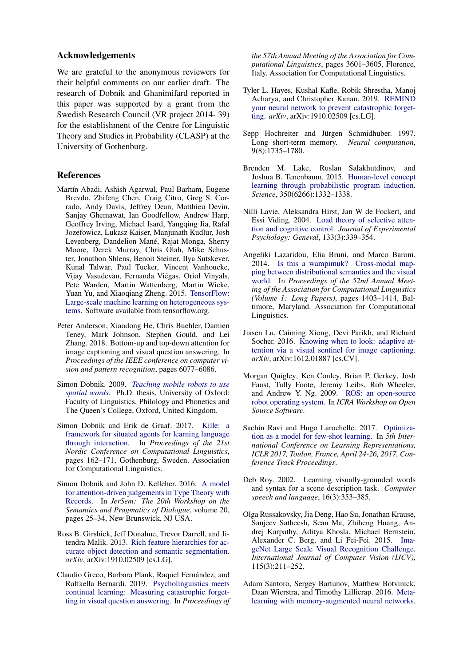#### Acknowledgements

We are grateful to the anonymous reviewers for their helpful comments on our earlier draft. The research of Dobnik and Ghanimifard reported in this paper was supported by a grant from the Swedish Research Council (VR project 2014- 39) for the establishment of the Centre for Linguistic Theory and Studies in Probability (CLASP) at the University of Gothenburg.

#### References

- <span id="page-6-3"></span>Martín Abadi, Ashish Agarwal, Paul Barham, Eugene Brevdo, Zhifeng Chen, Craig Citro, Greg S. Corrado, Andy Davis, Jeffrey Dean, Matthieu Devin, Sanjay Ghemawat, Ian Goodfellow, Andrew Harp, Geoffrey Irving, Michael Isard, Yangqing Jia, Rafal Jozefowicz, Lukasz Kaiser, Manjunath Kudlur, Josh Levenberg, Dandelion Mané, Rajat Monga, Sherry Moore, Derek Murray, Chris Olah, Mike Schuster, Jonathon Shlens, Benoit Steiner, Ilya Sutskever, Kunal Talwar, Paul Tucker, Vincent Vanhoucke, Vijay Vasudevan, Fernanda Viegas, Oriol Vinyals, ´ Pete Warden, Martin Wattenberg, Martin Wicke, Yuan Yu, and Xiaoqiang Zheng. 2015. [TensorFlow:](https://www.tensorflow.org/) [Large-scale machine learning on heterogeneous sys](https://www.tensorflow.org/)[tems.](https://www.tensorflow.org/) Software available from tensorflow.org.
- <span id="page-6-14"></span>Peter Anderson, Xiaodong He, Chris Buehler, Damien Teney, Mark Johnson, Stephen Gould, and Lei Zhang. 2018. Bottom-up and top-down attention for image captioning and visual question answering. In *Proceedings of the IEEE conference on computer vision and pattern recognition*, pages 6077–6086.
- <span id="page-6-8"></span>Simon Dobnik. 2009. *[Teaching mobile robots to use](https://ora.ox.ac.uk/objects/uuid:d3e8d606-212b-4a8e-ba9b-9c59cfd3f485) [spatial words](https://ora.ox.ac.uk/objects/uuid:d3e8d606-212b-4a8e-ba9b-9c59cfd3f485)*. Ph.D. thesis, University of Oxford: Faculty of Linguistics, Philology and Phonetics and The Queen's College, Oxford, United Kingdom.
- <span id="page-6-5"></span>Simon Dobnik and Erik de Graaf. 2017. [Kille: a](http://www.aclweb.org/anthology/W17-0219) [framework for situated agents for learning language](http://www.aclweb.org/anthology/W17-0219) [through interaction.](http://www.aclweb.org/anthology/W17-0219) In *Proceedings of the 21st Nordic Conference on Computational Linguistics*, pages 162–171, Gothenburg, Sweden. Association for Computational Linguistics.
- <span id="page-6-10"></span>Simon Dobnik and John D. Kelleher. 2016. [A model](http://semdial.org/anthology/papers/Z/Z16/Z16-3007/) [for attention-driven judgements in Type Theory with](http://semdial.org/anthology/papers/Z/Z16/Z16-3007/) [Records.](http://semdial.org/anthology/papers/Z/Z16/Z16-3007/) In *JerSem: The 20th Workshop on the Semantics and Pragmatics of Dialogue*, volume 20, pages 25–34, New Brunswick, NJ USA.
- <span id="page-6-13"></span>Ross B. Girshick, Jeff Donahue, Trevor Darrell, and Jitendra Malik. 2013. [Rich feature hierarchies for ac](http://arxiv.org/abs/1311.2524)[curate object detection and semantic segmentation.](http://arxiv.org/abs/1311.2524) *arXiv*, arXiv:1910.02509 [cs.LG].
- <span id="page-6-11"></span>Claudio Greco, Barbara Plank, Raquel Fernández, and Raffaella Bernardi. 2019. [Psycholinguistics meets](https://doi.org/10.18653/v1/P19-1350) [continual learning: Measuring catastrophic forget](https://doi.org/10.18653/v1/P19-1350)[ting in visual question answering.](https://doi.org/10.18653/v1/P19-1350) In *Proceedings of*

*the 57th Annual Meeting of the Association for Computational Linguistics*, pages 3601–3605, Florence, Italy. Association for Computational Linguistics.

- <span id="page-6-12"></span>Tyler L. Hayes, Kushal Kafle, Robik Shrestha, Manoj Acharya, and Christopher Kanan. 2019. [REMIND](http://arxiv.org/abs/1910.02509) [your neural network to prevent catastrophic forget](http://arxiv.org/abs/1910.02509)[ting.](http://arxiv.org/abs/1910.02509) *arXiv*, arXiv:1910.02509 [cs.LG].
- <span id="page-6-4"></span>Sepp Hochreiter and Jürgen Schmidhuber. 1997. Long short-term memory. *Neural computation*, 9(8):1735–1780.
- <span id="page-6-1"></span>Brenden M. Lake, Ruslan Salakhutdinov, and Joshua B. Tenenbaum. 2015. [Human-level concept](https://doi.org/10.1126/science.aab3050) [learning through probabilistic program induction.](https://doi.org/10.1126/science.aab3050) *Science*, 350(6266):1332–1338.
- <span id="page-6-9"></span>Nilli Lavie, Aleksandra Hirst, Jan W de Fockert, and Essi Viding. 2004. [Load theory of selective atten](https://doi.org/10.1037/0096-3445.133.3.339)[tion and cognitive control.](https://doi.org/10.1037/0096-3445.133.3.339) *Journal of Experimental Psychology: General*, 133(3):339–354.
- <span id="page-6-16"></span>Angeliki Lazaridou, Elia Bruni, and Marco Baroni. 2014. [Is this a wampimuk? Cross-modal map](https://doi.org/10.3115/v1/P14-1132)[ping between distributional semantics and the visual](https://doi.org/10.3115/v1/P14-1132) [world.](https://doi.org/10.3115/v1/P14-1132) In *Proceedings of the 52nd Annual Meeting of the Association for Computational Linguistics (Volume 1: Long Papers)*, pages 1403–1414, Baltimore, Maryland. Association for Computational Linguistics.
- <span id="page-6-15"></span>Jiasen Lu, Caiming Xiong, Devi Parikh, and Richard Socher. 2016. [Knowing when to look: adaptive at](http://arxiv.org/abs/1612.01887)[tention via a visual sentinel for image captioning.](http://arxiv.org/abs/1612.01887) *arXiv*, arXiv:1612.01887 [cs.CV].
- <span id="page-6-6"></span>Morgan Quigley, Ken Conley, Brian P. Gerkey, Josh Faust, Tully Foote, Jeremy Leibs, Rob Wheeler, and Andrew Y. Ng. 2009. [ROS: an open-source](https://pdfs.semanticscholar.org/d45e/aee8b2e047306329e5dbfc954e6dd318ca1e.pdf) [robot operating system.](https://pdfs.semanticscholar.org/d45e/aee8b2e047306329e5dbfc954e6dd318ca1e.pdf) In *ICRA Workshop on Open Source Software*.
- <span id="page-6-17"></span>Sachin Ravi and Hugo Larochelle. 2017. [Optimiza](https://openreview.net/forum?id=rJY0-Kcll)[tion as a model for few-shot learning.](https://openreview.net/forum?id=rJY0-Kcll) In *5th International Conference on Learning Representations, ICLR 2017, Toulon, France, April 24-26, 2017, Conference Track Proceedings*.
- <span id="page-6-7"></span>Deb Roy. 2002. Learning visually-grounded words and syntax for a scene description task. *Computer speech and language*, 16(3):353–385.
- <span id="page-6-2"></span>Olga Russakovsky, Jia Deng, Hao Su, Jonathan Krause, Sanjeev Satheesh, Sean Ma, Zhiheng Huang, Andrej Karpathy, Aditya Khosla, Michael Bernstein, Alexander C. Berg, and Li Fei-Fei. 2015. [Ima](https://doi.org/10.1007/s11263-015-0816-y)[geNet Large Scale Visual Recognition Challenge.](https://doi.org/10.1007/s11263-015-0816-y) *International Journal of Computer Vision (IJCV)*, 115(3):211–252.
- <span id="page-6-0"></span>Adam Santoro, Sergey Bartunov, Matthew Botvinick, Daan Wierstra, and Timothy Lillicrap. 2016. [Meta](http://proceedings.mlr.press/v48/santoro16.html)[learning with memory-augmented neural networks.](http://proceedings.mlr.press/v48/santoro16.html)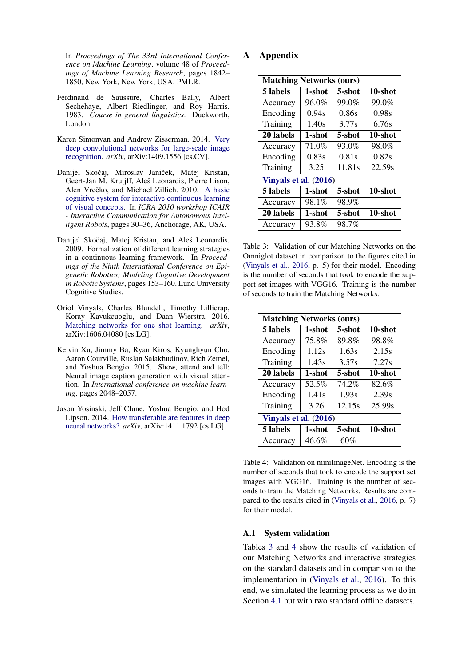In *Proceedings of The 33rd International Conference on Machine Learning*, volume 48 of *Proceedings of Machine Learning Research*, pages 1842– 1850, New York, New York, USA. PMLR.

- <span id="page-7-5"></span>Ferdinand de Saussure, Charles Bally, Albert Sechehaye, Albert Riedlinger, and Roy Harris. 1983. *Course in general linguistics*. Duckworth, London.
- <span id="page-7-1"></span>Karen Simonyan and Andrew Zisserman. 2014. [Very](http://arxiv.org/abs/1409.1556) [deep convolutional networks for large-scale image](http://arxiv.org/abs/1409.1556) [recognition.](http://arxiv.org/abs/1409.1556) *arXiv*, arXiv:1409.1556 [cs.CV].
- <span id="page-7-3"></span>Danijel Skočaj, Miroslav Janiček, Matej Kristan, Geert-Jan M. Kruijff, Aleš Leonardis, Pierre Lison, Alen Vrečko, and Michael Zillich. 2010. [A basic](http://www.ensta-paristech.fr/~tapus/RSS2010/RSS2010-WS-Proceedings.pdf) [cognitive system for interactive continuous learning](http://www.ensta-paristech.fr/~tapus/RSS2010/RSS2010-WS-Proceedings.pdf) [of visual concepts.](http://www.ensta-paristech.fr/~tapus/RSS2010/RSS2010-WS-Proceedings.pdf) In *ICRA 2010 workshop ICAIR - Interactive Communication for Autonomous Intelligent Robots*, pages 30–36, Anchorage, AK, USA.
- <span id="page-7-4"></span>Danijel Skočaj, Matej Kristan, and Aleš Leonardis. 2009. Formalization of different learning strategies in a continuous learning framework. In *Proceedings of the Ninth International Conference on Epigenetic Robotics; Modeling Cognitive Development in Robotic Systems*, pages 153–160. Lund University Cognitive Studies.
- <span id="page-7-0"></span>Oriol Vinyals, Charles Blundell, Timothy Lillicrap, Koray Kavukcuoglu, and Daan Wierstra. 2016. [Matching networks for one shot learning.](https://arxiv.org/abs/1606.04080) *arXiv*, arXiv:1606.04080 [cs.LG].
- <span id="page-7-6"></span>Kelvin Xu, Jimmy Ba, Ryan Kiros, Kyunghyun Cho, Aaron Courville, Ruslan Salakhudinov, Rich Zemel, and Yoshua Bengio. 2015. Show, attend and tell: Neural image caption generation with visual attention. In *International conference on machine learning*, pages 2048–2057.
- <span id="page-7-2"></span>Jason Yosinski, Jeff Clune, Yoshua Bengio, and Hod Lipson. 2014. [How transferable are features in deep](http://arxiv.org/abs/1411.1792) [neural networks?](http://arxiv.org/abs/1411.1792) *arXiv*, arXiv:1411.1792 [cs.LG].

## A Appendix

<span id="page-7-7"></span>

| <b>Matching Networks (ours)</b> |        |        |         |  |  |
|---------------------------------|--------|--------|---------|--|--|
| 5 labels                        | 1-shot | 5-shot | 10-shot |  |  |
| Accuracy                        | 96.0%  | 99.0%  | 99.0%   |  |  |
| Encoding                        | 0.94s  | 0.86s  | 0.98s   |  |  |
| Training                        | 1.40s  | 3.77s  | 6.76s   |  |  |
| 20 labels                       | 1-shot | 5-shot | 10-shot |  |  |
| Accuracy                        | 71.0%  | 93.0%  | 98.0%   |  |  |
| Encoding                        | 0.83s  | 0.81s  | 0.82s   |  |  |
| Training                        | 3.25   | 11.81s | 22.59s  |  |  |
| Vinyals et al. (2016)           |        |        |         |  |  |
| 5 labels                        | 1-shot | 5-shot | 10-shot |  |  |
| Accuracy                        | 98.1%  | 98.9%  |         |  |  |
| 20 labels                       | 1-shot | 5-shot | 10-shot |  |  |
| Accuracy                        | 93.8%  | 98.7%  |         |  |  |

Table 3: Validation of our Matching Networks on the Omniglot dataset in comparison to the figures cited in [\(Vinyals et al.,](#page-7-0) [2016,](#page-7-0) p. 5) for their model. Encoding is the number of seconds that took to encode the support set images with VGG16. Training is the number of seconds to train the Matching Networks.

<span id="page-7-8"></span>

| <b>Matching Networks (ours)</b> |        |        |         |  |  |
|---------------------------------|--------|--------|---------|--|--|
| 5 labels                        | 1-shot | 5-shot | 10-shot |  |  |
| Accuracy                        | 75.8%  | 89.8%  | 98.8%   |  |  |
| Encoding                        | 1.12s  | 1.63s  | 2.15s   |  |  |
| Training                        | 1.43s  | 3.57s  | 7.27s   |  |  |
| 20 labels                       | 1-shot | 5-shot | 10-shot |  |  |
| Accuracy                        | 52.5%  | 74.2%  | 82.6%   |  |  |
| Encoding                        | 1.41s  | 1.93s  | 2.39s   |  |  |
| Training                        | 3.26   | 12.15s | 25.99s  |  |  |
| Vinyals et al. (2016)           |        |        |         |  |  |
| 5 labels                        | 1-shot | 5-shot | 10-shot |  |  |
| Accuracy                        | 46.6%  | 60%    |         |  |  |

Table 4: Validation on miniImageNet. Encoding is the number of seconds that took to encode the support set images with VGG16. Training is the number of seconds to train the Matching Networks. Results are compared to the results cited in [\(Vinyals et al.,](#page-7-0) [2016,](#page-7-0) p. 7) for their model.

## A.1 System validation

Tables [3](#page-7-7) and [4](#page-7-8) show the results of validation of our Matching Networks and interactive strategies on the standard datasets and in comparison to the implementation in [\(Vinyals et al.,](#page-7-0) [2016\)](#page-7-0). To this end, we simulated the learning process as we do in Section [4.1](#page-3-2) but with two standard offline datasets.